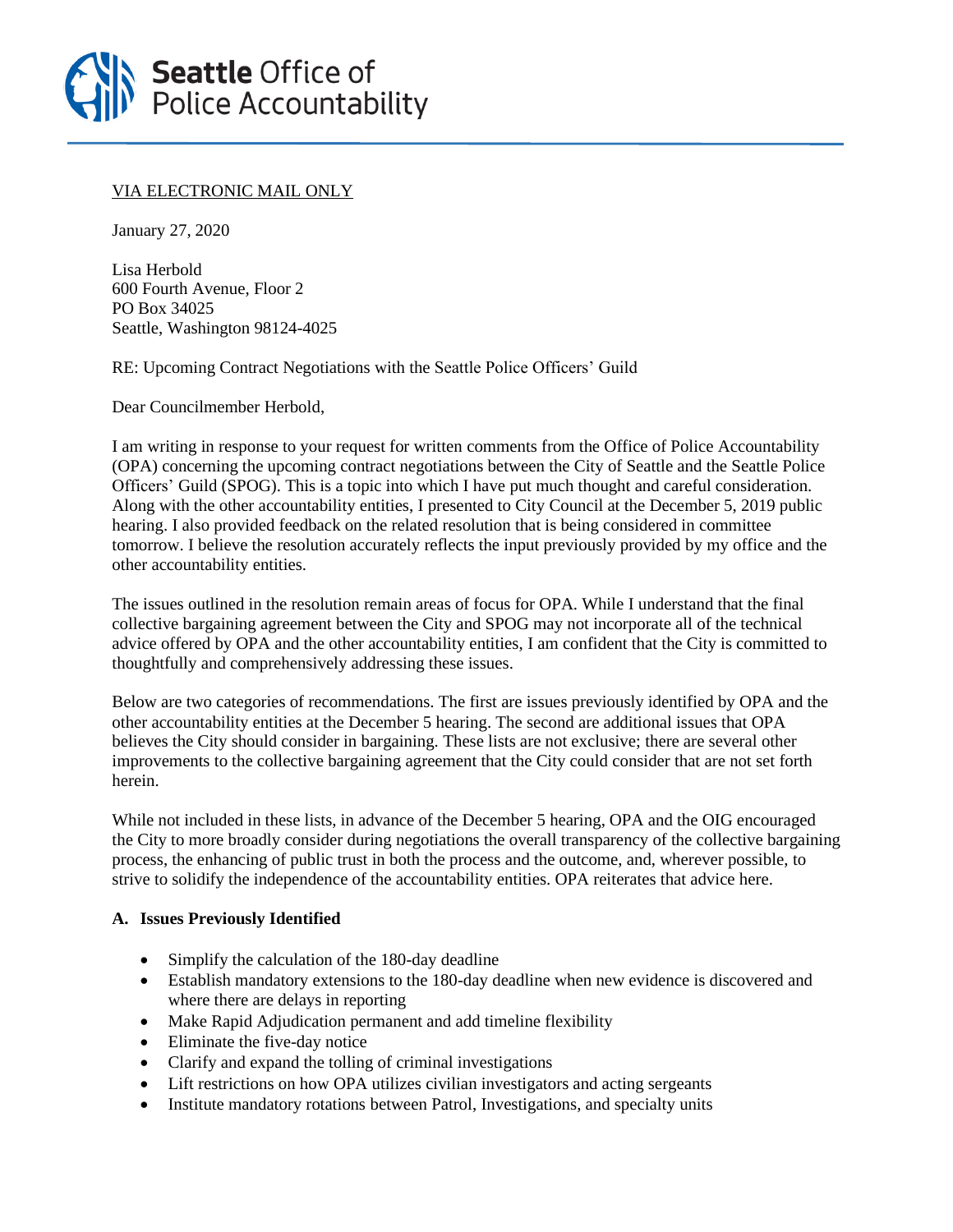

## VIA ELECTRONIC MAIL ONLY

January 27, 2020

Lisa Herbold 600 Fourth Avenue, Floor 2 PO Box 34025 Seattle, Washington 98124-4025

RE: Upcoming Contract Negotiations with the Seattle Police Officers' Guild

Dear Councilmember Herbold,

I am writing in response to your request for written comments from the Office of Police Accountability (OPA) concerning the upcoming contract negotiations between the City of Seattle and the Seattle Police Officers' Guild (SPOG). This is a topic into which I have put much thought and careful consideration. Along with the other accountability entities, I presented to City Council at the December 5, 2019 public hearing. I also provided feedback on the related resolution that is being considered in committee tomorrow. I believe the resolution accurately reflects the input previously provided by my office and the other accountability entities.

The issues outlined in the resolution remain areas of focus for OPA. While I understand that the final collective bargaining agreement between the City and SPOG may not incorporate all of the technical advice offered by OPA and the other accountability entities, I am confident that the City is committed to thoughtfully and comprehensively addressing these issues.

Below are two categories of recommendations. The first are issues previously identified by OPA and the other accountability entities at the December 5 hearing. The second are additional issues that OPA believes the City should consider in bargaining. These lists are not exclusive; there are several other improvements to the collective bargaining agreement that the City could consider that are not set forth herein.

While not included in these lists, in advance of the December 5 hearing, OPA and the OIG encouraged the City to more broadly consider during negotiations the overall transparency of the collective bargaining process, the enhancing of public trust in both the process and the outcome, and, wherever possible, to strive to solidify the independence of the accountability entities. OPA reiterates that advice here.

## **A. Issues Previously Identified**

- Simplify the calculation of the 180-day deadline
- Establish mandatory extensions to the 180-day deadline when new evidence is discovered and where there are delays in reporting
- Make Rapid Adjudication permanent and add timeline flexibility
- Eliminate the five-day notice
- Clarify and expand the tolling of criminal investigations
- Lift restrictions on how OPA utilizes civilian investigators and acting sergeants
- Institute mandatory rotations between Patrol, Investigations, and specialty units